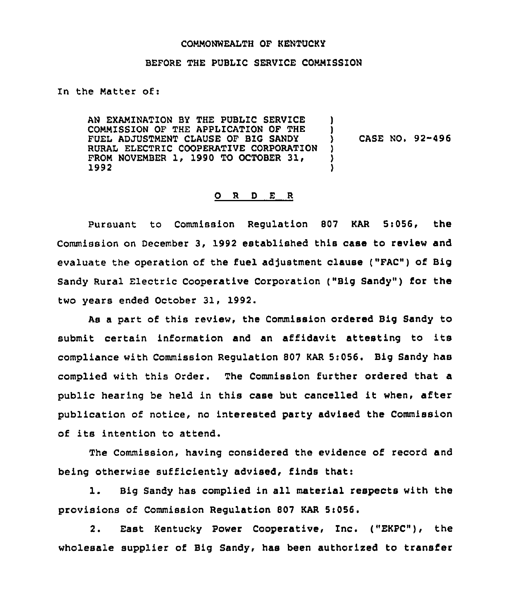### COMMONWEALTH OF KENTUCKY

#### BEFORE THE PUBLIC SERVICE COMMISSION

In the Matter of:

AN EXAMINATION BY THE PUBLIC SERVICE ) COMMISSION OF THE APPLICATION OF THE FUEL ADJUSTMENT CLAUSE OF BIG SANDY ) RURAL ELECTRIC COOPERATIVE CORPORATION FROM NOVEMBER 1, 1990 TO OCTOBER 31, 3 1992 )

) CASE NO. 92-496

#### 0 <sup>R</sup> <sup>D</sup> <sup>E</sup> <sup>R</sup>

Pursuant to Commission Requlation 807 KAR 5:056, the Commission on December 3, 1992 established this case to review and evaluate the operation of the fuel adjustment clause ("FAC") of Big Sandy Rural Electric Cooperative Corporation ("Big Sandy") for the two years ended October 31, 1992.

As a part of this review, the Commission ordered Big Sandy to submit certain information and an affidavit attesting to its compliance with Commission Regulation 807 KAR 5:056. Big Sandy has complied with this Order. The Commission further ordered that a public hearing be held in this case but cancelled it when, after publication of notice, no interested party advised the Commission of its intention to attend.

The Commission, having considered the evidence of record and being otherwise sufficiently advised, finds that:

1. Big Sandy has complied in all material respects with the provisions of Commission Regulation 807 KAR 5:056.

2. East Kentucky Power Cooperative, Inc. ("EKPC"), the wholesale supplier of Big Sandy, has been authorized to transfer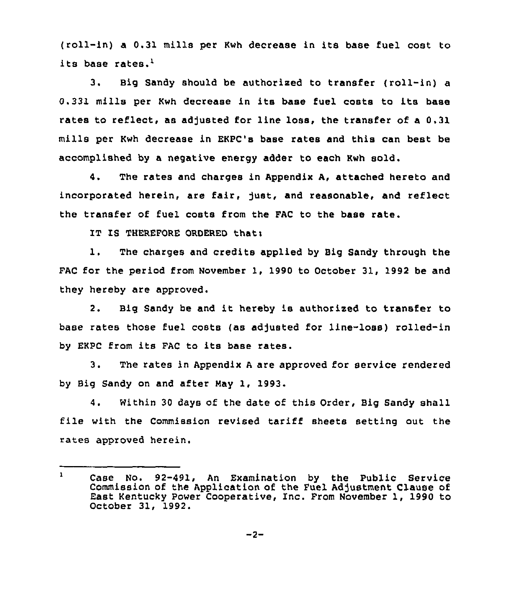(roll-in) a 0.31 mills per Kwh decrease in its base fuel cost to its base rates.'.

 $3.$ Big Sandy should be authorised to transfer (roll-in) a 0.331 mills pex Kwh decxease in its base fuel costs to its base rates to reflect, as adjusted for line loss, the transfer of a 0.31 mills per Kwh decrease in EKPC's base rates and this can best be accomplished by a negative energy adder to each Kwh sold.

4. The rates and charges in Appendix A, attached hereto and incorporated herein, are fair, just, and reasonable, and reflect the transfer of fuel costs from the FAC to the base rate.

IT IS THEREFORE ORDERED that:

1. The charges and credits applied by Big Sandy through the FAC for the period from November 1, 1990 to October 31, 1992 be and they hereby are approved.

2. Big Sandy be and it hereby is authorized to transfer to base rates those fuel costs (as adjusted for line-loss) rolled-in by EKPC from its FAC to its base rates.

3. The rates in Appendix <sup>A</sup> are approved for service rendered by Big Sandy on and after Nay 1, 1993.

4. Within 30 days of the date of this Order, Big Sandy shall file with the Commission revised tariff sheets setting out the rates approved herein.

 $\mathbf{1}$ Case No. 92-491, An Examination by the Public Service Commission of the Application of the Fuel Adjustment Clause of East Kentucky Power Cooperative, Inc. Prom November 1, 1990 to October 31, 1992.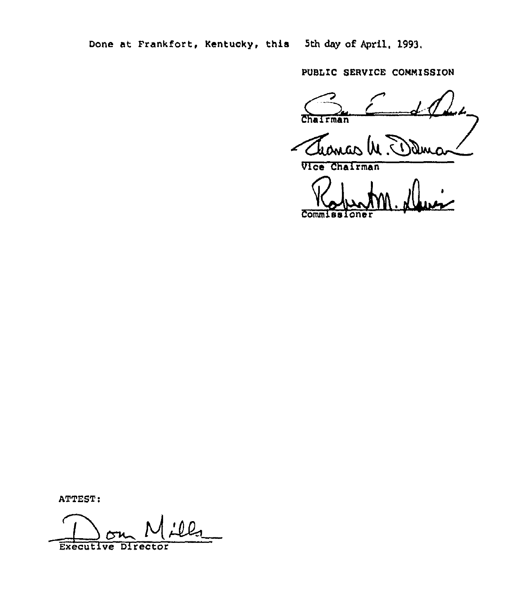Done at Frankfort, Kentucky, this 5th day of April, 1993.

pvBLIc sERYIcE commissioN

Chairman

Vice Chairman

Commissioner

ATTEST:

Executive Director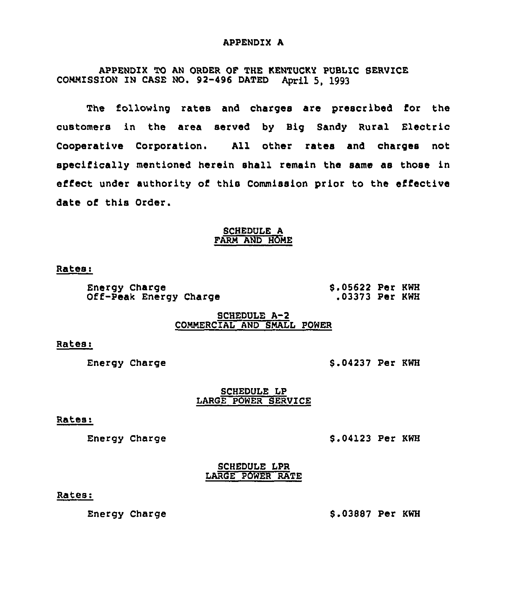### APPENDIX A

APPENDIX TO AN ORDER OF THE KENTUCKY PUBLIC SERUICE COMMISSION IN CASE NO. 92-496 DATED April 5, 1993

The following rates and charges are prescribed for the customers in the area served by Big Sandy Rural Electric Cooperative Corporation. All other rates and charges not specifically mentioned herein shall remain the same as those in effect under authority of this Commission prior to the eifective date of this Order.

## SCHEDULE A FARM AND HOME

Rates:

Energy Charge Off-Peak Energy Charge \$ .05622 Per KWH .03373 Per KWH

## SCHEDULE A-2 COMMERCIAL AND SMALL POWER

Rates:

Energy Charge

\$ .04237 Per KWH

## SCHEDULE LP LARGE POWER SERVICE

#### Rates:

Energy Charge

\$ .04123 Per KWH

SCHEDULE LPR LARGE POWER RATE

## Rates:

Energy Charge

\$ .03887 Per KWH